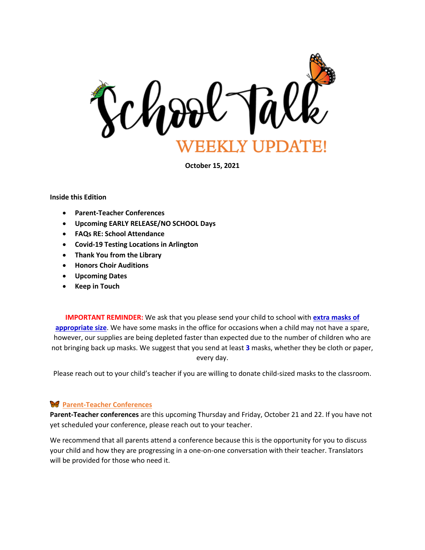

**October 15, 2021**

#### **Inside this Edition**

- **Parent-Teacher Conferences**
- **Upcoming EARLY RELEASE/NO SCHOOL Days**
- **FAQs RE: School Attendance**
- **Covid-19 Testing Locations in Arlington**
- **Thank You from the Library**
- **Honors Choir Auditions**
- **Upcoming Dates**
- **Keep in Touch**

**IMPORTANT REMINDER:** We ask that you please send your child to school with **extra masks of appropriate size**. We have some masks in the office for occasions when a child may not have a spare, however, our supplies are being depleted faster than expected due to the number of children who are not bringing back up masks. We suggest that you send at least **3** masks, whether they be cloth or paper, every day.

Please reach out to your child's teacher if you are willing to donate child-sized masks to the classroom.

## **Parent-Teacher Conferences**

**Parent-Teacher conferences** are this upcoming Thursday and Friday, October 21 and 22. If you have not yet scheduled your conference, please reach out to your teacher.

We recommend that all parents attend a conference because this is the opportunity for you to discuss your child and how they are progressing in a one-on-one conversation with their teacher. Translators will be provided for those who need it.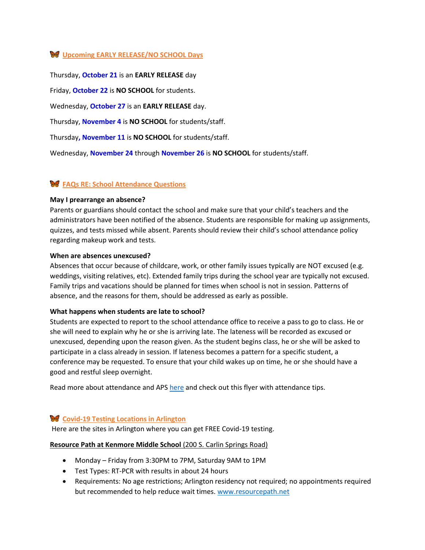# **Upcoming EARLY RELEASE/NO SCHOOL Days**

Thursday, **October 21** is an **EARLY RELEASE** day

Friday, **October 22** is **NO SCHOOL** for students.

Wednesday, **October 27** is an **EARLY RELEASE** day.

Thursday, **November 4** is **NO SCHOOL** for students/staff.

Thursday**, November 11** is **NO SCHOOL** for students/staff.

Wednesday, **November 24** through **November 26** is **NO SCHOOL** for students/staff.

## **FAQs RE: School Attendance Questions**

#### **May I prearrange an absence?**

Parents or guardians should contact the school and make sure that your child's teachers and the administrators have been notified of the absence. Students are responsible for making up assignments, quizzes, and tests missed while absent. Parents should review their child's school attendance policy regarding makeup work and tests.

#### **When are absences unexcused?**

Absences that occur because of childcare, work, or other family issues typically are NOT excused (e.g. weddings, visiting relatives, etc). Extended family trips during the school year are typically not excused. Family trips and vacations should be planned for times when school is not in session. Patterns of absence, and the reasons for them, should be addressed as early as possible.

#### **What happens when students are late to school?**

Students are expected to report to the school attendance office to receive a pass to go to class. He or she will need to explain why he or she is arriving late. The lateness will be recorded as excused or unexcused, depending upon the reason given. As the student begins class, he or she will be asked to participate in a class already in session. If lateness becomes a pattern for a specific student, a conference may be requested. To ensure that your child wakes up on time, he or she should have a good and restful sleep overnight.

Read more about attendance and APS [here](https://www.apsva.us/attendance/frequently-asked-questions/) and check out this flyer with attendance tips.

## **Covid-19 Testing Locations in Arlington**

Here are the sites in Arlington where you can get FREE Covid-19 testing.

#### **Resource Path at Kenmore Middle School** (200 S. Carlin Springs Road)

- Monday Friday from 3:30PM to 7PM, Saturday 9AM to 1PM
- Test Types: RT-PCR with results in about 24 hours
- Requirements: No age restrictions; Arlington residency not required; no appointments required but recommended to help reduce wait times. [www.resourcepath.net](http://www.resourcepath.net/)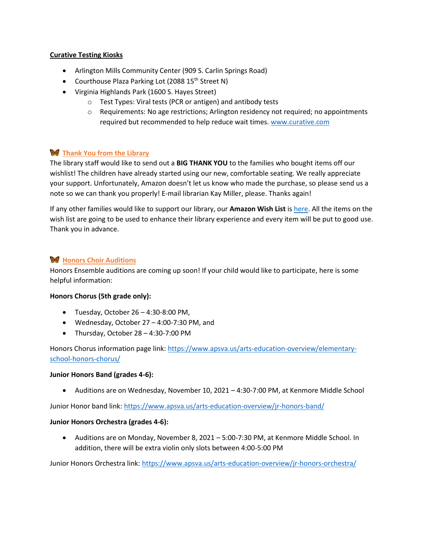## **Curative Testing Kiosks**

- Arlington Mills Community Center (909 S. Carlin Springs Road)
- Courthouse Plaza Parking Lot (2088 15<sup>th</sup> Street N)
- Virginia Highlands Park (1600 S. Hayes Street)
	- o Test Types: Viral tests (PCR or antigen) and antibody tests
	- $\circ$  Requirements: No age restrictions; Arlington residency not required; no appointments required but recommended to help reduce wait times. [www.curative.com](http://www.curative.com/)

# **Thank You from the Library**

The library staff would like to send out a **BIG THANK YOU** to the families who bought items off our wishlist! The children have already started using our new, comfortable seating. We really appreciate your support. Unfortunately, Amazon doesn't let us know who made the purchase, so please send us a note so we can thank you properly! E-mail librarian Kay Miller, please. Thanks again!

If any other families would like to support our library, our **Amazon Wish List** is [here.](https://www.amazon.com/hz/wishlist/ls/3IF3SUCAIP9QH?ref_=wl_share) All the items on the wish list are going to be used to enhance their library experience and every item will be put to good use. Thank you in advance.

# **W** Honors Choir Auditions

Honors Ensemble auditions are coming up soon! If your child would like to participate, here is some helpful information:

## **Honors Chorus (5th grade only):**

- Tuesday, October 26 4:30-8:00 PM,
- Wednesday, October 27 4:00-7:30 PM, and
- Thursday, October 28 4:30-7:00 PM

Honors Chorus information page link: [https://www.apsva.us/arts-education-overview/elementary](https://www.apsva.us/arts-education-overview/elementary-school-honors-chorus/)[school-honors-chorus/](https://www.apsva.us/arts-education-overview/elementary-school-honors-chorus/) 

## **Junior Honors Band (grades 4-6):**

• Auditions are on Wednesday, November 10, 2021 – 4:30-7:00 PM, at Kenmore Middle School

Junior Honor band link[: https://www.apsva.us/arts-education-overview/jr-honors-band/](https://www.apsva.us/arts-education-overview/jr-honors-band/) 

## **Junior Honors Orchestra (grades 4-6):**

• Auditions are on Monday, November 8, 2021 – 5:00-7:30 PM, at Kenmore Middle School. In addition, there will be extra violin only slots between 4:00-5:00 PM

Junior Honors Orchestra link[: https://www.apsva.us/arts-education-overview/jr-honors-orchestra/](https://www.apsva.us/arts-education-overview/jr-honors-orchestra/)